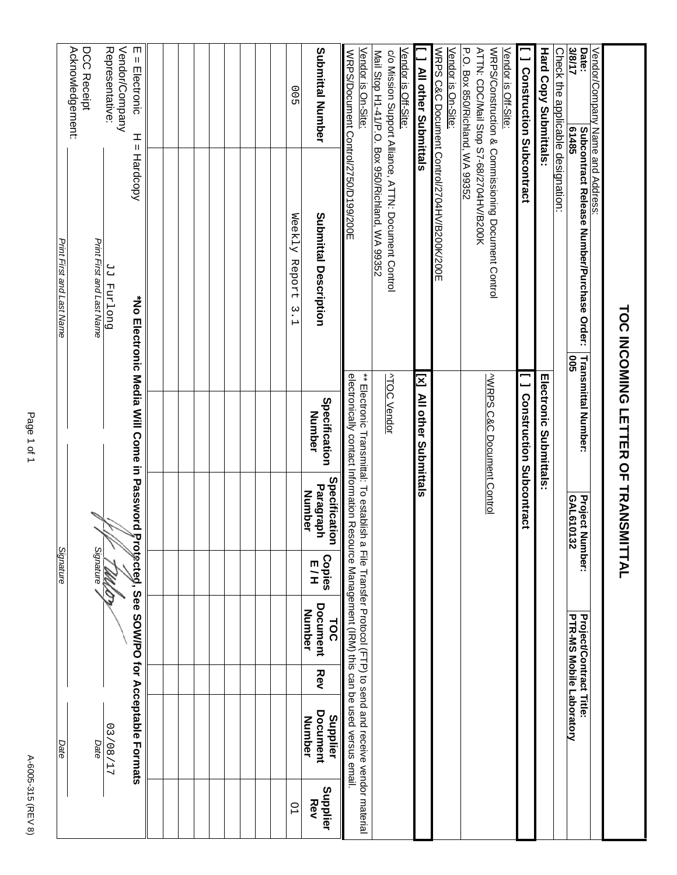| Print First and Last Name<br>Signature | Acknowledgement:<br>DCC Receipt<br>Print First and Last Name<br>Signature |      | Representative:<br>Vendor/Company<br>Duo Land PP<br>M | m<br>$=$ Electronic<br>ᆂ<br>Ш<br>Hardcopy<br>*No Electronic Media Will Come in Password<br>Protected, See SOW/PO for Acceptable Formats |  |  |  |  | 00<br>Weekly Report<br>$\tilde{\cdot}$<br>$\mapsto$ | <b>Number</b><br>Number | Submittal Number<br>Submittal Description<br>Specification<br>Number<br>Specification<br>Paragraph<br><b>Copies</b><br>ロコ<br>Document<br><b>TOC</b><br>Rev | WRPS/Document Control/2750/D199/200E<br>electronically contact Information Resource Management (IRM) this can be used versus email | Vendor is On-Site:<br>** Electronic Transmittal: To establish a File Transfer Procol (FTP) to send and receive vendor material | Vendor is Off-Site:<br>Mail Stop H1-41/P.O. Box 950/Richland, WA 99352<br>c/o Mission Support Alliance, ATTN: Document Control<br><b>ATOC Vendor</b> | All other Submittals<br>IN MI other Superittais | WRPS C&C Document Control/2704HV/B200K/200E | Vendor is On-Site: | P.O. Box 850/Richland, WA 99352 | ATTN: CDC/Mail Stop S7-68/2704HV/B200K | WRPS/Construction & Commissioning Document Control<br><b>VWRPS C&amp;C Document Control</b> | Vendor is Off-Site: | <b>J</b> Construction Subcontract<br><b>Construction Subcontract</b> | <b>Hard Copy Submittals</b><br><b>Infectronic Submittals:</b> | Check the applic <u>able designation:</u> | 3/8/17<br>Date:<br>61485<br><b>Subcontract Release Number/Purchase Order:</b><br><b>Transmittal Number:</b><br><b>902</b><br>GAL610132<br><b>Project N</b><br>umber:<br><b>Project/Contract Title:</b> | Vendor/Company Name and Address: | TOC INCOMING LETTER OF TRANSMITTAL |
|----------------------------------------|---------------------------------------------------------------------------|------|-------------------------------------------------------|-----------------------------------------------------------------------------------------------------------------------------------------|--|--|--|--|-----------------------------------------------------|-------------------------|------------------------------------------------------------------------------------------------------------------------------------------------------------|------------------------------------------------------------------------------------------------------------------------------------|--------------------------------------------------------------------------------------------------------------------------------|------------------------------------------------------------------------------------------------------------------------------------------------------|-------------------------------------------------|---------------------------------------------|--------------------|---------------------------------|----------------------------------------|---------------------------------------------------------------------------------------------|---------------------|----------------------------------------------------------------------|---------------------------------------------------------------|-------------------------------------------|--------------------------------------------------------------------------------------------------------------------------------------------------------------------------------------------------------|----------------------------------|------------------------------------|
| Date                                   |                                                                           |      | 12/08/17                                              |                                                                                                                                         |  |  |  |  |                                                     | Number                  | Document<br>Supplier                                                                                                                                       |                                                                                                                                    |                                                                                                                                |                                                                                                                                                      |                                                 |                                             |                    |                                 |                                        |                                                                                             |                     |                                                                      |                                                               |                                           | PTR-MS Mobile Laboratory                                                                                                                                                                               |                                  |                                    |
|                                        |                                                                           | Date |                                                       |                                                                                                                                         |  |  |  |  | $\overline{0}$                                      |                         | Supplier<br>Rev                                                                                                                                            |                                                                                                                                    |                                                                                                                                |                                                                                                                                                      |                                                 |                                             |                    |                                 |                                        |                                                                                             |                     |                                                                      |                                                               |                                           |                                                                                                                                                                                                        |                                  |                                    |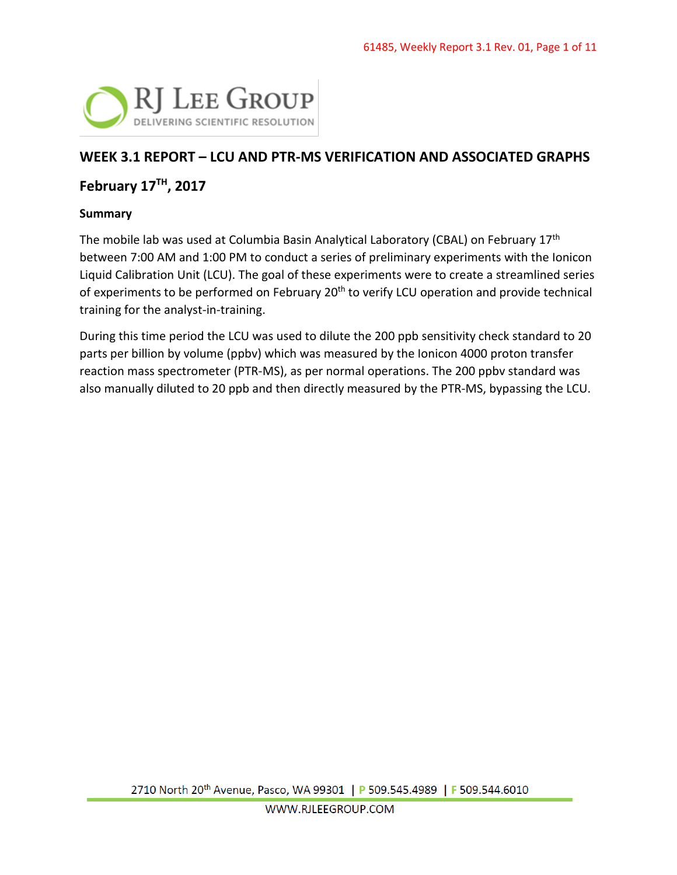

# **WEEK 3.1 REPORT – LCU AND PTR-MS VERIFICATION AND ASSOCIATED GRAPHS**

## **February 17TH, 2017**

### **Summary**

The mobile lab was used at Columbia Basin Analytical Laboratory (CBAL) on February 17<sup>th</sup> between 7:00 AM and 1:00 PM to conduct a series of preliminary experiments with the Ionicon Liquid Calibration Unit (LCU). The goal of these experiments were to create a streamlined series of experiments to be performed on February 20<sup>th</sup> to verify LCU operation and provide technical training for the analyst-in-training.

During this time period the LCU was used to dilute the 200 ppb sensitivity check standard to 20 parts per billion by volume (ppbv) which was measured by the Ionicon 4000 proton transfer reaction mass spectrometer (PTR-MS), as per normal operations. The 200 ppbv standard was also manually diluted to 20 ppb and then directly measured by the PTR-MS, bypassing the LCU.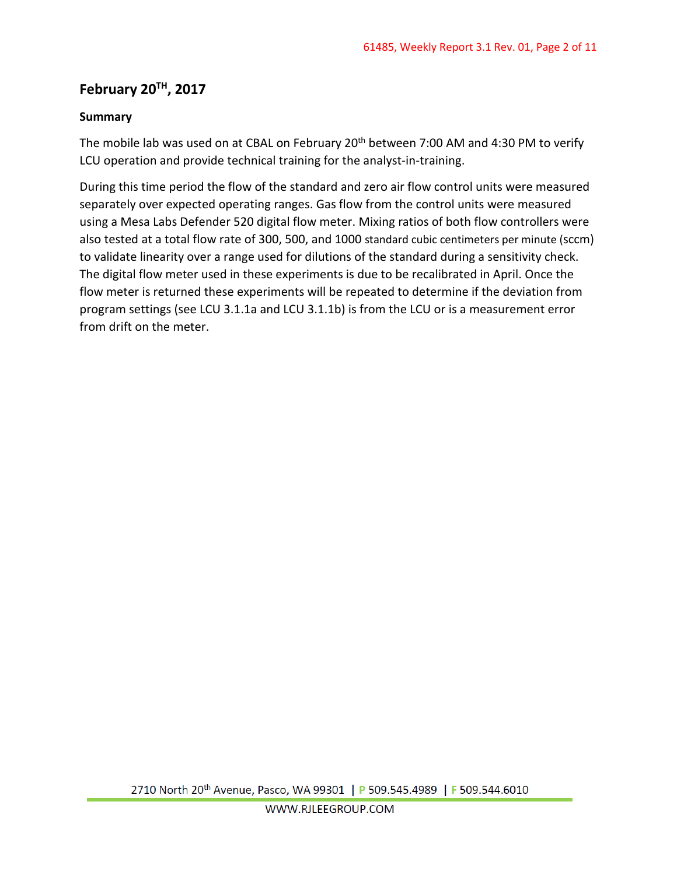# **February 20TH, 2017**

## **Summary**

The mobile lab was used on at CBAL on February 20<sup>th</sup> between 7:00 AM and 4:30 PM to verify LCU operation and provide technical training for the analyst-in-training.

During this time period the flow of the standard and zero air flow control units were measured separately over expected operating ranges. Gas flow from the control units were measured using a Mesa Labs Defender 520 digital flow meter. Mixing ratios of both flow controllers were also tested at a total flow rate of 300, 500, and 1000 standard cubic centimeters per minute (sccm) to validate linearity over a range used for dilutions of the standard during a sensitivity check. The digital flow meter used in these experiments is due to be recalibrated in April. Once the flow meter is returned these experiments will be repeated to determine if the deviation from program settings (see LCU 3.1.1a and LCU 3.1.1b) is from the LCU or is a measurement error from drift on the meter.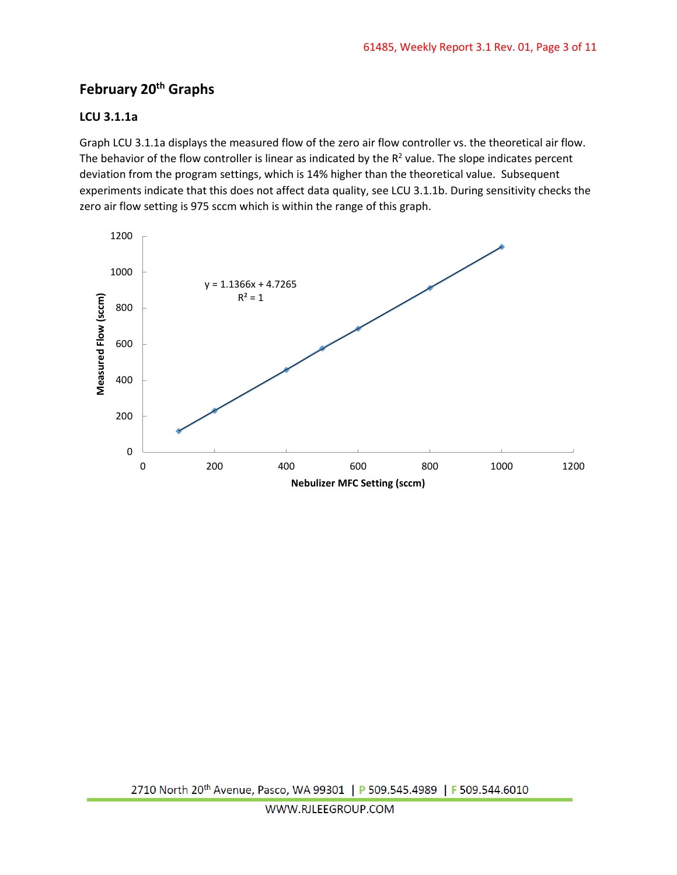# **February 20th Graphs**

#### **LCU 3.1.1a**

Graph LCU 3.1.1a displays the measured flow of the zero air flow controller vs. the theoretical air flow. The behavior of the flow controller is linear as indicated by the  $R<sup>2</sup>$  value. The slope indicates percent deviation from the program settings, which is 14% higher than the theoretical value. Subsequent experiments indicate that this does not affect data quality, see LCU 3.1.1b. During sensitivity checks the zero air flow setting is 975 sccm which is within the range of this graph.

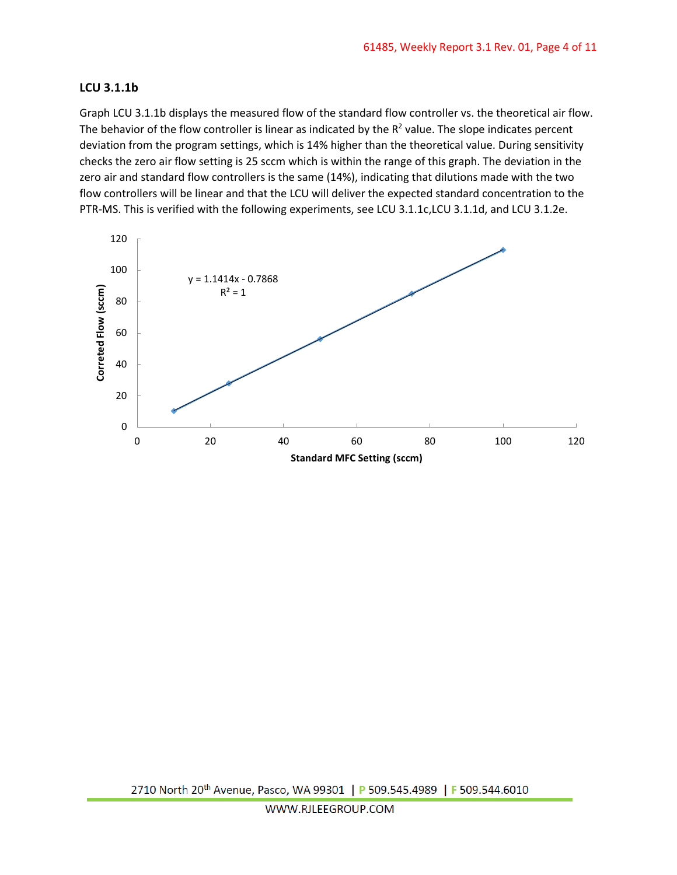#### **LCU 3.1.1b**

Graph LCU 3.1.1b displays the measured flow of the standard flow controller vs. the theoretical air flow. The behavior of the flow controller is linear as indicated by the  $R<sup>2</sup>$  value. The slope indicates percent deviation from the program settings, which is 14% higher than the theoretical value. During sensitivity checks the zero air flow setting is 25 sccm which is within the range of this graph. The deviation in the zero air and standard flow controllers is the same (14%), indicating that dilutions made with the two flow controllers will be linear and that the LCU will deliver the expected standard concentration to the PTR-MS. This is verified with the following experiments, see LCU 3.1.1c,LCU 3.1.1d, and LCU 3.1.2e.

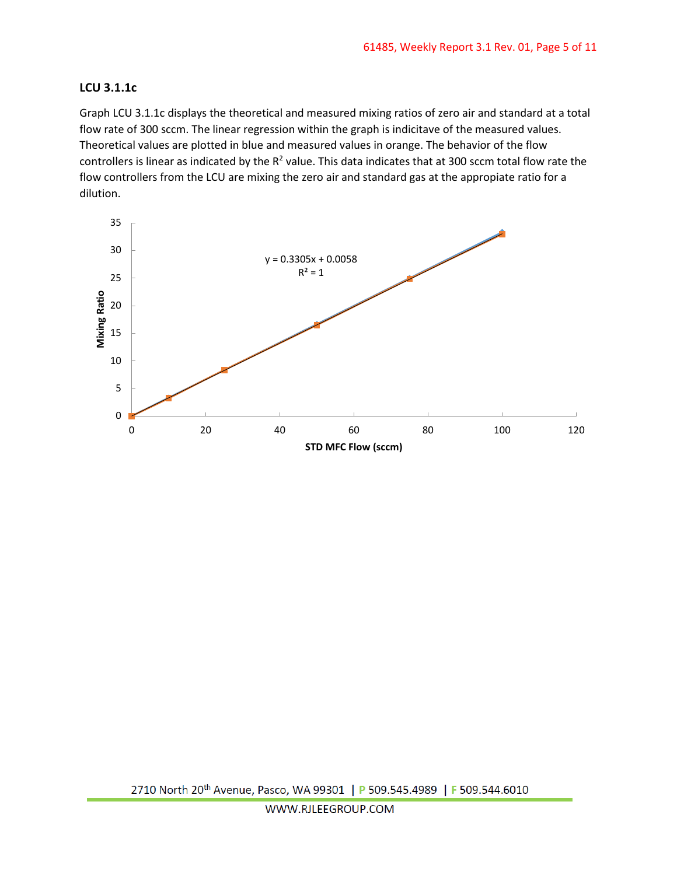#### **LCU 3.1.1c**

Graph LCU 3.1.1c displays the theoretical and measured mixing ratios of zero air and standard at a total flow rate of 300 sccm. The linear regression within the graph is indicitave of the measured values. Theoretical values are plotted in blue and measured values in orange. The behavior of the flow controllers is linear as indicated by the  $R^2$  value. This data indicates that at 300 sccm total flow rate the flow controllers from the LCU are mixing the zero air and standard gas at the appropiate ratio for a dilution.

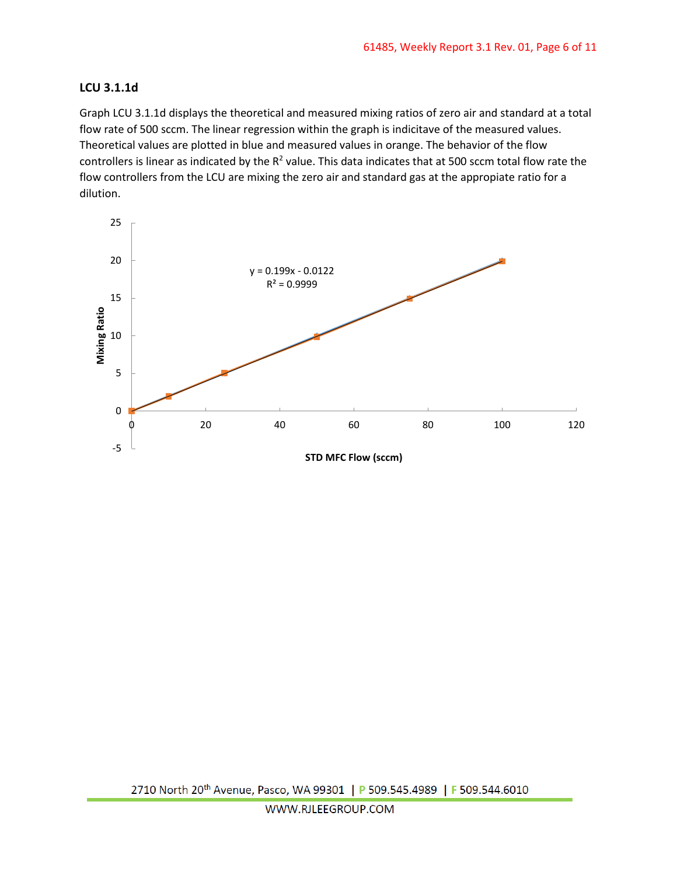#### **LCU 3.1.1d**

Graph LCU 3.1.1d displays the theoretical and measured mixing ratios of zero air and standard at a total flow rate of 500 sccm. The linear regression within the graph is indicitave of the measured values. Theoretical values are plotted in blue and measured values in orange. The behavior of the flow controllers is linear as indicated by the  $R^2$  value. This data indicates that at 500 sccm total flow rate the flow controllers from the LCU are mixing the zero air and standard gas at the appropiate ratio for a dilution.

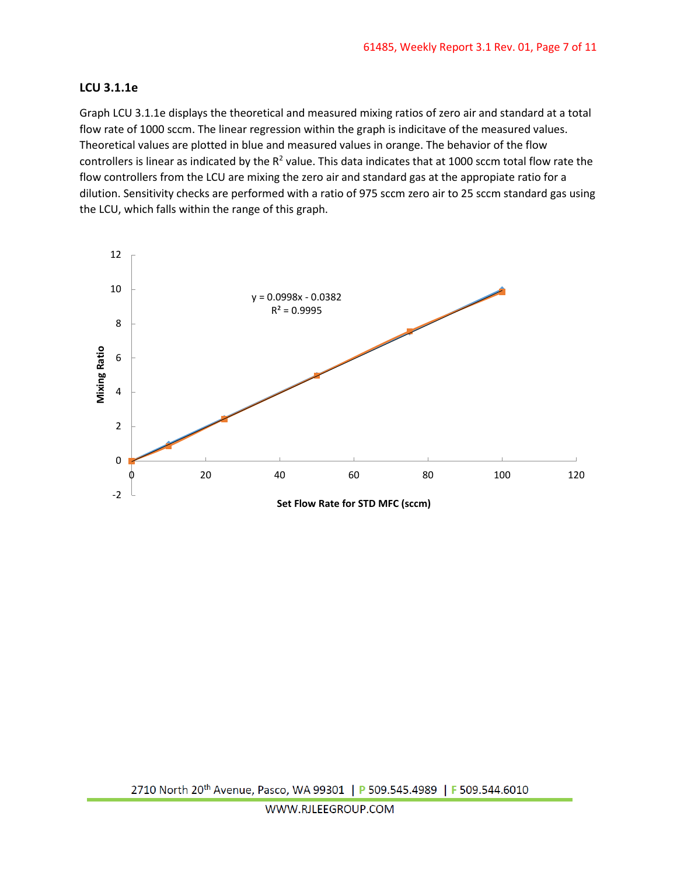#### **LCU 3.1.1e**

Graph LCU 3.1.1e displays the theoretical and measured mixing ratios of zero air and standard at a total flow rate of 1000 sccm. The linear regression within the graph is indicitave of the measured values. Theoretical values are plotted in blue and measured values in orange. The behavior of the flow controllers is linear as indicated by the  $R^2$  value. This data indicates that at 1000 sccm total flow rate the flow controllers from the LCU are mixing the zero air and standard gas at the appropiate ratio for a dilution. Sensitivity checks are performed with a ratio of 975 sccm zero air to 25 sccm standard gas using the LCU, which falls within the range of this graph.

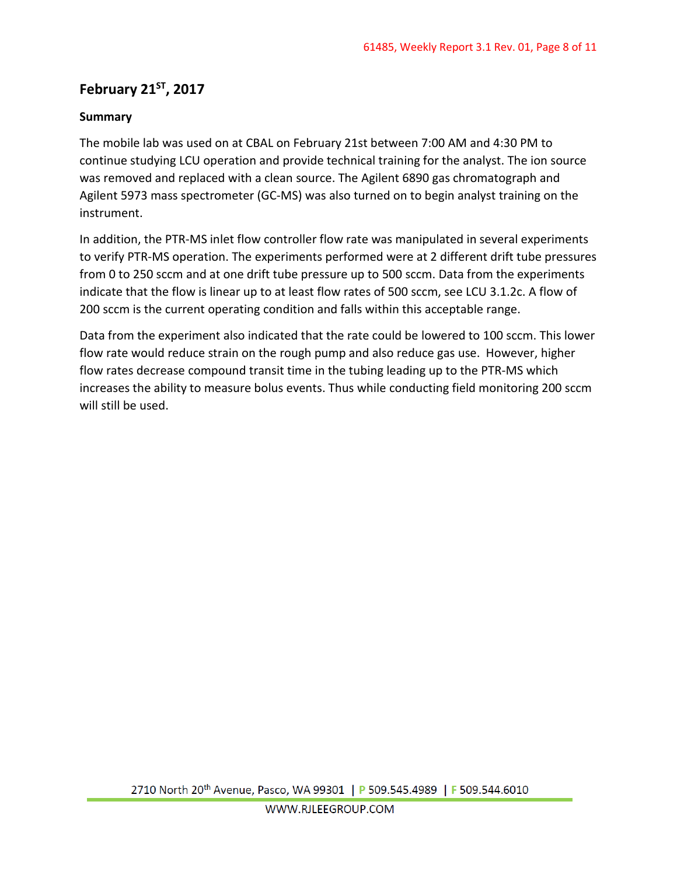# **February 21ST, 2017**

## **Summary**

The mobile lab was used on at CBAL on February 21st between 7:00 AM and 4:30 PM to continue studying LCU operation and provide technical training for the analyst. The ion source was removed and replaced with a clean source. The Agilent 6890 gas chromatograph and Agilent 5973 mass spectrometer (GC-MS) was also turned on to begin analyst training on the instrument.

In addition, the PTR-MS inlet flow controller flow rate was manipulated in several experiments to verify PTR-MS operation. The experiments performed were at 2 different drift tube pressures from 0 to 250 sccm and at one drift tube pressure up to 500 sccm. Data from the experiments indicate that the flow is linear up to at least flow rates of 500 sccm, see LCU 3.1.2c. A flow of 200 sccm is the current operating condition and falls within this acceptable range.

Data from the experiment also indicated that the rate could be lowered to 100 sccm. This lower flow rate would reduce strain on the rough pump and also reduce gas use. However, higher flow rates decrease compound transit time in the tubing leading up to the PTR-MS which increases the ability to measure bolus events. Thus while conducting field monitoring 200 sccm will still be used.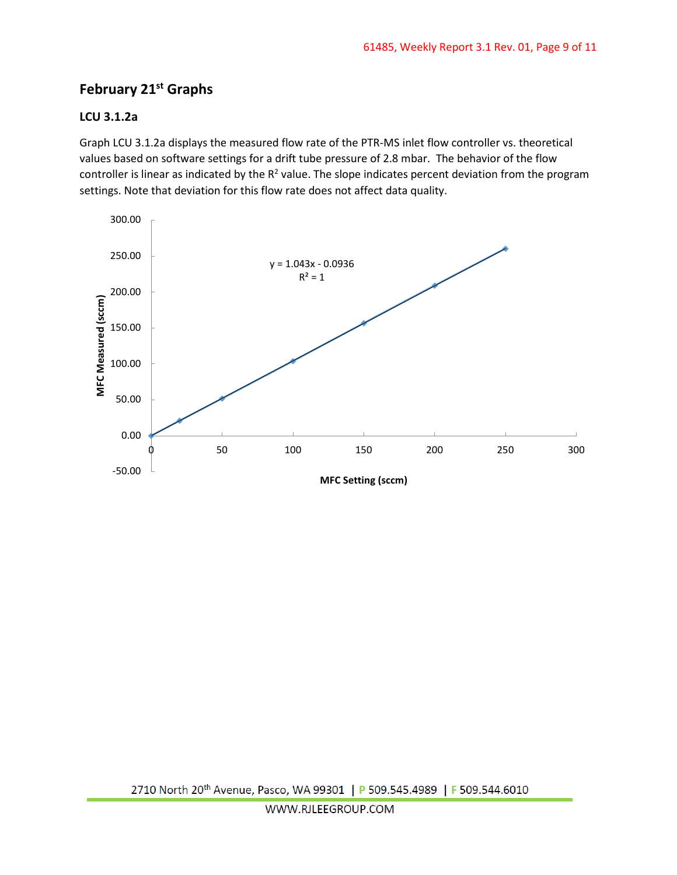# **February 21st Graphs**

### **LCU 3.1.2a**

Graph LCU 3.1.2a displays the measured flow rate of the PTR-MS inlet flow controller vs. theoretical values based on software settings for a drift tube pressure of 2.8 mbar. The behavior of the flow controller is linear as indicated by the  $R^2$  value. The slope indicates percent deviation from the program settings. Note that deviation for this flow rate does not affect data quality.

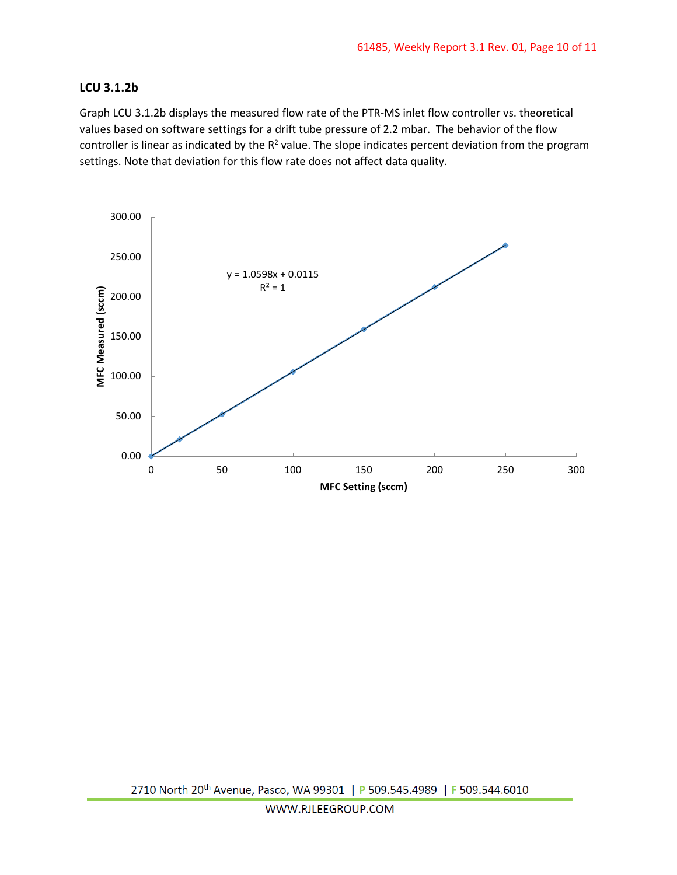### **LCU 3.1.2b**

Graph LCU 3.1.2b displays the measured flow rate of the PTR-MS inlet flow controller vs. theoretical values based on software settings for a drift tube pressure of 2.2 mbar. The behavior of the flow controller is linear as indicated by the  $R^2$  value. The slope indicates percent deviation from the program settings. Note that deviation for this flow rate does not affect data quality.